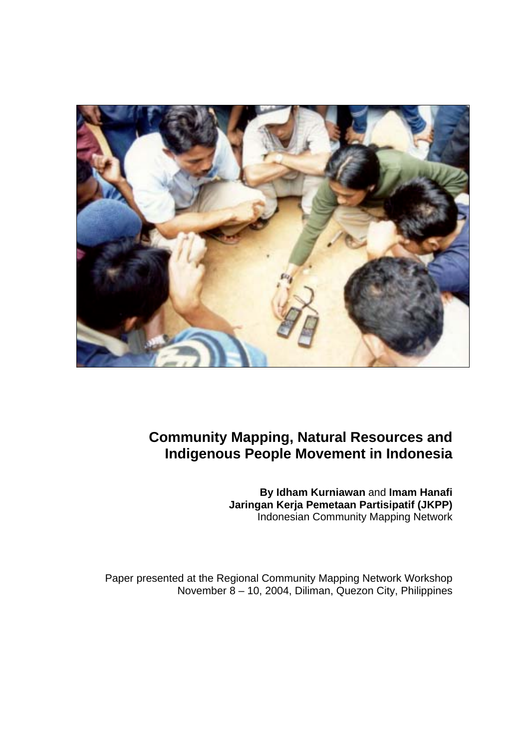

# **Community Mapping, Natural Resources and Indigenous People Movement in Indonesia**

**By Idham Kurniawan** and **Imam Hanafi Jaringan Kerja Pemetaan Partisipatif (JKPP)**  Indonesian Community Mapping Network

Paper presented at the Regional Community Mapping Network Workshop November 8 – 10, 2004, Diliman, Quezon City, Philippines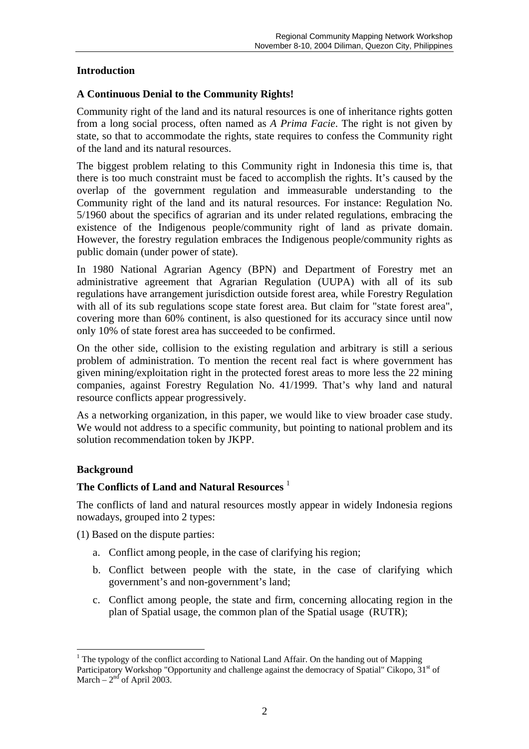## **Introduction**

## **A Continuous Denial to the Community Rights!**

Community right of the land and its natural resources is one of inheritance rights gotten from a long social process, often named as *A Prima Facie*. The right is not given by state, so that to accommodate the rights, state requires to confess the Community right of the land and its natural resources.

The biggest problem relating to this Community right in Indonesia this time is, that there is too much constraint must be faced to accomplish the rights. It's caused by the overlap of the government regulation and immeasurable understanding to the Community right of the land and its natural resources. For instance: Regulation No. 5/1960 about the specifics of agrarian and its under related regulations, embracing the existence of the Indigenous people/community right of land as private domain. However, the forestry regulation embraces the Indigenous people/community rights as public domain (under power of state).

In 1980 National Agrarian Agency (BPN) and Department of Forestry met an administrative agreement that Agrarian Regulation (UUPA) with all of its sub regulations have arrangement jurisdiction outside forest area, while Forestry Regulation with all of its sub regulations scope state forest area. But claim for "state forest area", covering more than 60% continent, is also questioned for its accuracy since until now only 10% of state forest area has succeeded to be confirmed.

On the other side, collision to the existing regulation and arbitrary is still a serious problem of administration. To mention the recent real fact is where government has given mining/exploitation right in the protected forest areas to more less the 22 mining companies, against Forestry Regulation No. 41/1999. That's why land and natural resource conflicts appear progressively.

As a networking organization, in this paper, we would like to view broader case study. We would not address to a specific community, but pointing to national problem and its solution recommendation token by JKPP.

## **Background**

 $\overline{a}$ 

## **The Conflicts of Land and Natural Resources** <sup>1</sup>

The conflicts of land and natural resources mostly appear in widely Indonesia regions nowadays, grouped into 2 types:

(1) Based on the dispute parties:

- a. Conflict among people, in the case of clarifying his region;
- b. Conflict between people with the state, in the case of clarifying which government's and non-government's land;
- c. Conflict among people, the state and firm, concerning allocating region in the plan of Spatial usage, the common plan of the Spatial usage (RUTR);

<sup>&</sup>lt;sup>1</sup> The typology of the conflict according to National Land Affair. On the handing out of Mapping Participatory Workshop "Opportunity and challenge against the democracy of Spatial" Cikopo, 31<sup>st</sup> of March –  $2<sup>nd</sup>$  of April 2003.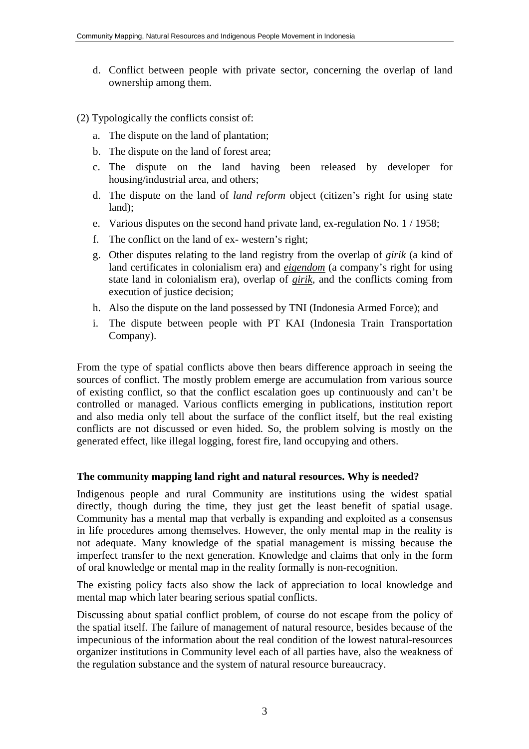- d. Conflict between people with private sector, concerning the overlap of land ownership among them.
- (2) Typologically the conflicts consist of:
	- a. The dispute on the land of plantation;
	- b. The dispute on the land of forest area;
	- c. The dispute on the land having been released by developer for housing/industrial area, and others;
	- d. The dispute on the land of *land reform* object (citizen's right for using state land);
	- e. Various disputes on the second hand private land, ex-regulation No. 1 / 1958;
	- f. The conflict on the land of ex- western's right;
	- g. Other disputes relating to the land registry from the overlap of *girik* (a kind of land certificates in colonialism era) and *eigendom* (a company's right for using state land in colonialism era), overlap of *girik*, and the conflicts coming from execution of justice decision;
	- h. Also the dispute on the land possessed by TNI (Indonesia Armed Force); and
	- i. The dispute between people with PT KAI (Indonesia Train Transportation Company).

From the type of spatial conflicts above then bears difference approach in seeing the sources of conflict. The mostly problem emerge are accumulation from various source of existing conflict, so that the conflict escalation goes up continuously and can't be controlled or managed. Various conflicts emerging in publications, institution report and also media only tell about the surface of the conflict itself, but the real existing conflicts are not discussed or even hided. So, the problem solving is mostly on the generated effect, like illegal logging, forest fire, land occupying and others.

#### **The community mapping land right and natural resources. Why is needed?**

Indigenous people and rural Community are institutions using the widest spatial directly, though during the time, they just get the least benefit of spatial usage. Community has a mental map that verbally is expanding and exploited as a consensus in life procedures among themselves. However, the only mental map in the reality is not adequate. Many knowledge of the spatial management is missing because the imperfect transfer to the next generation. Knowledge and claims that only in the form of oral knowledge or mental map in the reality formally is non-recognition.

The existing policy facts also show the lack of appreciation to local knowledge and mental map which later bearing serious spatial conflicts.

Discussing about spatial conflict problem, of course do not escape from the policy of the spatial itself. The failure of management of natural resource, besides because of the impecunious of the information about the real condition of the lowest natural-resources organizer institutions in Community level each of all parties have, also the weakness of the regulation substance and the system of natural resource bureaucracy.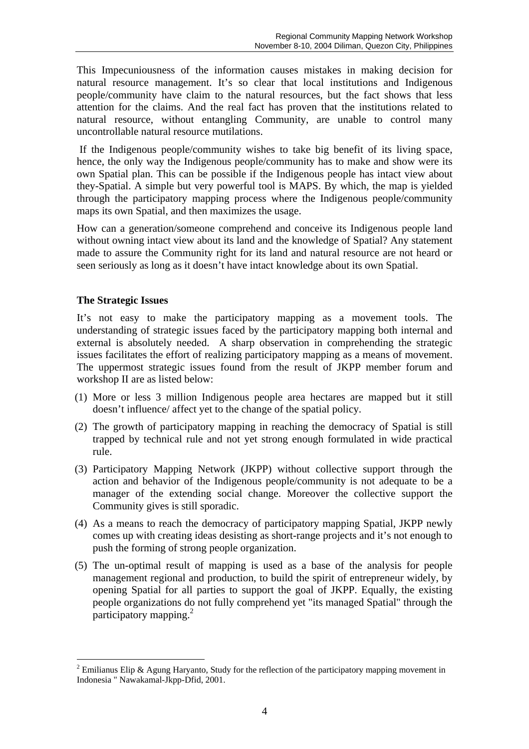This Impecuniousness of the information causes mistakes in making decision for natural resource management. It's so clear that local institutions and Indigenous people/community have claim to the natural resources, but the fact shows that less attention for the claims. And the real fact has proven that the institutions related to natural resource, without entangling Community, are unable to control many uncontrollable natural resource mutilations.

 If the Indigenous people/community wishes to take big benefit of its living space, hence, the only way the Indigenous people/community has to make and show were its own Spatial plan. This can be possible if the Indigenous people has intact view about they-Spatial. A simple but very powerful tool is MAPS. By which, the map is yielded through the participatory mapping process where the Indigenous people/community maps its own Spatial, and then maximizes the usage.

How can a generation/someone comprehend and conceive its Indigenous people land without owning intact view about its land and the knowledge of Spatial? Any statement made to assure the Community right for its land and natural resource are not heard or seen seriously as long as it doesn't have intact knowledge about its own Spatial.

### **The Strategic Issues**

 $\overline{a}$ 

It's not easy to make the participatory mapping as a movement tools. The understanding of strategic issues faced by the participatory mapping both internal and external is absolutely needed. A sharp observation in comprehending the strategic issues facilitates the effort of realizing participatory mapping as a means of movement. The uppermost strategic issues found from the result of JKPP member forum and workshop II are as listed below:

- (1) More or less 3 million Indigenous people area hectares are mapped but it still doesn't influence/ affect yet to the change of the spatial policy.
- (2) The growth of participatory mapping in reaching the democracy of Spatial is still trapped by technical rule and not yet strong enough formulated in wide practical rule.
- (3) Participatory Mapping Network (JKPP) without collective support through the action and behavior of the Indigenous people/community is not adequate to be a manager of the extending social change. Moreover the collective support the Community gives is still sporadic.
- (4) As a means to reach the democracy of participatory mapping Spatial, JKPP newly comes up with creating ideas desisting as short-range projects and it's not enough to push the forming of strong people organization.
- (5) The un-optimal result of mapping is used as a base of the analysis for people management regional and production, to build the spirit of entrepreneur widely, by opening Spatial for all parties to support the goal of JKPP. Equally, the existing people organizations do not fully comprehend yet "its managed Spatial" through the participatory mapping.<sup>2</sup>

<sup>&</sup>lt;sup>2</sup> Emilianus Elip & Agung Haryanto, Study for the reflection of the participatory mapping movement in Indonesia " Nawakamal-Jkpp-Dfid, 2001.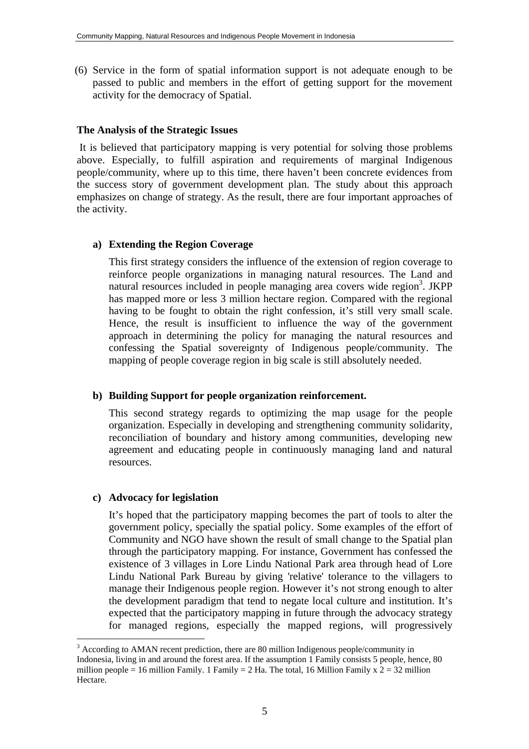(6) Service in the form of spatial information support is not adequate enough to be passed to public and members in the effort of getting support for the movement activity for the democracy of Spatial.

#### **The Analysis of the Strategic Issues**

 It is believed that participatory mapping is very potential for solving those problems above. Especially, to fulfill aspiration and requirements of marginal Indigenous people/community, where up to this time, there haven't been concrete evidences from the success story of government development plan. The study about this approach emphasizes on change of strategy. As the result, there are four important approaches of the activity.

#### **a) Extending the Region Coverage**

This first strategy considers the influence of the extension of region coverage to reinforce people organizations in managing natural resources. The Land and natural resources included in people managing area covers wide region<sup>3</sup>. JKPP has mapped more or less 3 million hectare region. Compared with the regional having to be fought to obtain the right confession, it's still very small scale. Hence, the result is insufficient to influence the way of the government approach in determining the policy for managing the natural resources and confessing the Spatial sovereignty of Indigenous people/community. The mapping of people coverage region in big scale is still absolutely needed.

#### **b) Building Support for people organization reinforcement.**

This second strategy regards to optimizing the map usage for the people organization. Especially in developing and strengthening community solidarity, reconciliation of boundary and history among communities, developing new agreement and educating people in continuously managing land and natural resources.

#### **c) Advocacy for legislation**

 $\overline{a}$ 

It's hoped that the participatory mapping becomes the part of tools to alter the government policy, specially the spatial policy. Some examples of the effort of Community and NGO have shown the result of small change to the Spatial plan through the participatory mapping. For instance, Government has confessed the existence of 3 villages in Lore Lindu National Park area through head of Lore Lindu National Park Bureau by giving 'relative' tolerance to the villagers to manage their Indigenous people region. However it's not strong enough to alter the development paradigm that tend to negate local culture and institution. It's expected that the participatory mapping in future through the advocacy strategy for managed regions, especially the mapped regions, will progressively

 $3$  According to AMAN recent prediction, there are 80 million Indigenous people/community in Indonesia, living in and around the forest area. If the assumption 1 Family consists 5 people, hence, 80 million people = 16 million Family. 1 Family = 2 Ha. The total, 16 Million Family  $x \overline{2} = 32$  million Hectare.